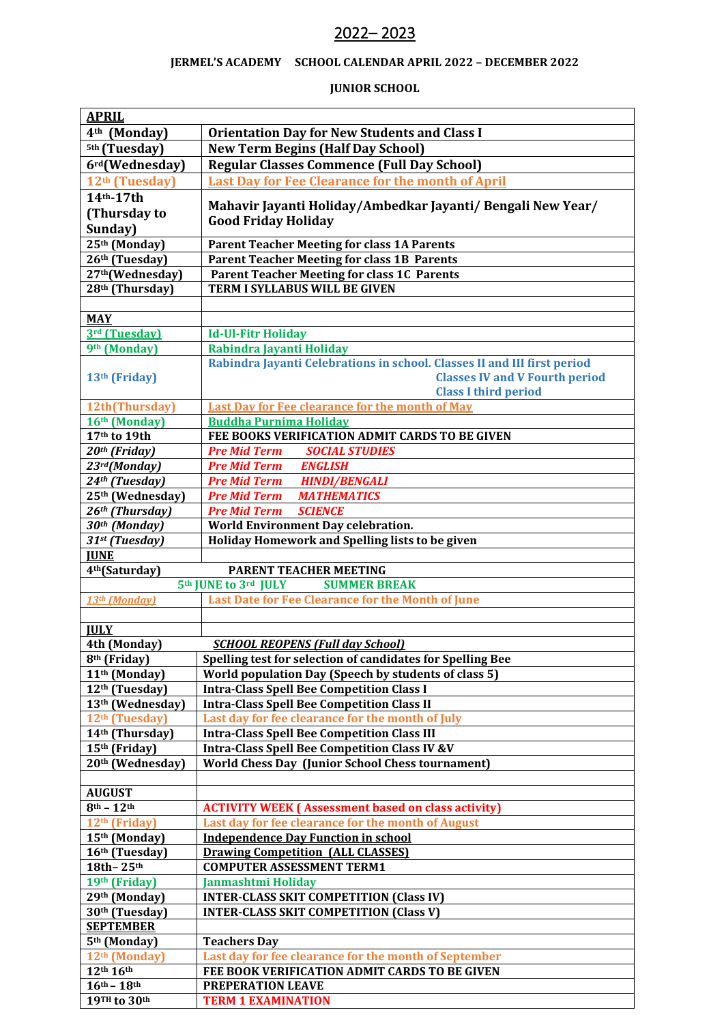## – 2023

## **JERMEL'S ACADEMY SCHOOL CALENDAR APRIL 2022 – DECEMBER 2022**

## **JUNIOR SCHOOL**

| <b>APRIL</b>                                         |                                                                          |
|------------------------------------------------------|--------------------------------------------------------------------------|
| 4 <sup>th</sup> (Monday)                             | <b>Orientation Day for New Students and Class I</b>                      |
| <sup>5th</sup> (Tuesday)                             | <b>New Term Begins (Half Day School)</b>                                 |
| 6rd(Wednesday)                                       | <b>Regular Classes Commence (Full Day School)</b>                        |
| 12 <sup>th</sup> (Tuesday)                           | <b>Last Day for Fee Clearance for the month of April</b>                 |
| 14th-17th                                            |                                                                          |
| (Thursday to                                         | Mahavir Jayanti Holiday/Ambedkar Jayanti/ Bengali New Year/              |
| Sunday)                                              | <b>Good Friday Holiday</b>                                               |
| $25th$ (Monday)                                      | <b>Parent Teacher Meeting for class 1A Parents</b>                       |
| 26th (Tuesday)                                       | <b>Parent Teacher Meeting for class 1B Parents</b>                       |
| 27th(Wednesday)                                      | <b>Parent Teacher Meeting for class 1C Parents</b>                       |
| 28 <sup>th</sup> (Thursday)                          | <b>TERM I SYLLABUS WILL BE GIVEN</b>                                     |
|                                                      |                                                                          |
| <b>MAY</b>                                           |                                                                          |
| 3rd (Tuesday)                                        | <b>Id-Ul-Fitr Holiday</b>                                                |
| 9th (Monday)                                         | Rabindra Jayanti Holiday                                                 |
|                                                      | Rabindra Jayanti Celebrations in school. Classes II and III first period |
| 13 <sup>th</sup> (Friday)                            | <b>Classes IV and V Fourth period</b>                                    |
|                                                      | <b>Class I third period</b>                                              |
| 12th(Thursday)                                       | <b>Last Day for Fee clearance for the month of May</b>                   |
| 16th (Monday)                                        | <b>Buddha Purnima Holiday</b>                                            |
| 17th to 19th                                         | FEE BOOKS VERIFICATION ADMIT CARDS TO BE GIVEN                           |
| 20 <sup>th</sup> (Friday)                            | <b>Pre Mid Term SOCIAL STUDIES</b>                                       |
| 23rd(Monday)                                         | <b>ENGLISH</b><br><b>Pre Mid Term</b>                                    |
| 24th (Tuesday)                                       | <b>HINDI/BENGALI</b><br><b>Pre Mid Term</b>                              |
| 25th (Wednesday)                                     | <b>MATHEMATICS</b><br><b>Pre Mid Term</b>                                |
| 26th (Thursday)                                      | <b>Pre Mid Term</b><br><b>SCIENCE</b>                                    |
| 30th (Monday)                                        | World Environment Day celebration.                                       |
| 31st (Tuesday)                                       | Holiday Homework and Spelling lists to be given                          |
| <b>JUNE</b>                                          |                                                                          |
| 4 <sup>th</sup> (Saturday)<br>PARENT TEACHER MEETING |                                                                          |
|                                                      | 5th JUNE to 3rd JULY<br><b>SUMMER BREAK</b>                              |
| 13th (Monday)                                        | Last Date for Fee Clearance for the Month of June                        |
| <b>JULY</b>                                          |                                                                          |
| 4th (Monday)                                         | <b>SCHOOL REOPENS (Full day School)</b>                                  |
| 8 <sup>th</sup> (Friday)                             | Spelling test for selection of candidates for Spelling Bee               |
| 11 <sup>th</sup> (Monday)                            | World population Day (Speech by students of class 5)                     |
| 12 <sup>th</sup> (Tuesday)                           | <b>Intra-Class Spell Bee Competition Class I</b>                         |
| 13th (Wednesday)                                     | <b>Intra-Class Spell Bee Competition Class II</b>                        |
| 12 <sup>th</sup> (Tuesday)                           | Last day for fee clearance for the month of July                         |
| 14th (Thursday)                                      | <b>Intra-Class Spell Bee Competition Class III</b>                       |
| 15th (Friday)                                        | <b>Intra-Class Spell Bee Competition Class IV &amp;V</b>                 |
| 20th (Wednesday)                                     | <b>World Chess Day (Junior School Chess tournament)</b>                  |
|                                                      |                                                                          |
| <b>AUGUST</b>                                        |                                                                          |
| $8^{\text{th}} - 12^{\text{th}}$                     | <b>ACTIVITY WEEK (Assessment based on class activity)</b>                |
| 12 <sup>th</sup> (Friday)                            | Last day for fee clearance for the month of August                       |
| 15th (Monday)                                        | <b>Independence Day Function in school</b>                               |
| 16th (Tuesday)                                       | <b>Drawing Competition (ALL CLASSES)</b>                                 |
| 18th-25th                                            | <b>COMPUTER ASSESSMENT TERM1</b>                                         |
| 19th (Friday)                                        | <b>Janmashtmi Holiday</b>                                                |
| 29th (Monday)                                        | <b>INTER-CLASS SKIT COMPETITION (Class IV)</b>                           |
| 30 <sup>th</sup> (Tuesday)                           | <b>INTER-CLASS SKIT COMPETITION (Class V)</b>                            |
| <b>SEPTEMBER</b>                                     |                                                                          |
| 5 <sup>th</sup> (Monday)                             | <b>Teachers Day</b>                                                      |
| 12 <sup>th</sup> (Monday)                            | Last day for fee clearance for the month of September                    |
| 12th 16th                                            | FEE BOOK VERIFICATION ADMIT CARDS TO BE GIVEN                            |
| $16^{th} - 18^{th}$                                  | PREPERATION LEAVE                                                        |
| 19TH to 30th                                         | <b>TERM 1 EXAMINATION</b>                                                |